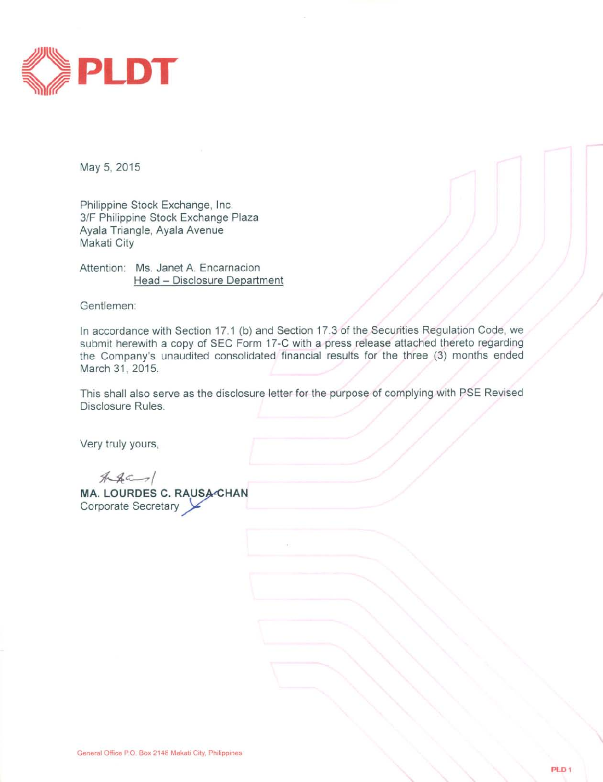

May 5, 2015

Philippine Stock Exchange, Inc. 3/F Philippine Stock Exchange Plaza Ayala Triangle, Ayala Avenue Makati City

Attention: Ms. Janet A. Encarnacion Head - Disclosure Department

Gentlemen:

In accordance with Section 17.1 (b) and Section 17.3 of the Securities Regulation Code, we submit herewith a copy of SEC Form 17-C with a press release attached thereto regarding the Company's unaudited consolidated financial results for the three (3) months ended March 31, 2015.

This shall also serve as the disclosure letter for the purpose of complying with PSE Revised Disclosure Rules.

Very truly yours,

 $A4-1$ MA. LOURDES C. RAUSA-CHAN Corporate Secretary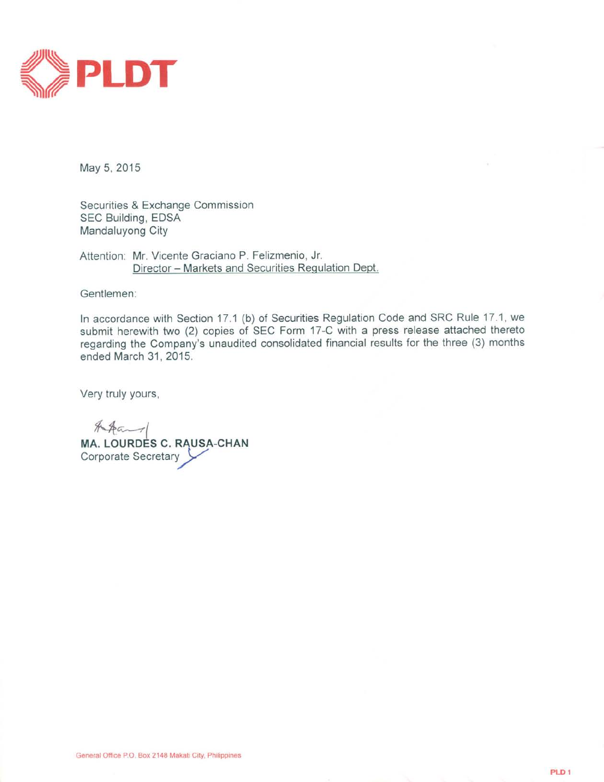

May 5, 2015

Securities & Exchange Commission SEC Building, EDSA Mandaluyong City

Attention: Mr. Vicente Graciano P. Felizmenio, Jr. Director - Markets and Securities Regulation Dept.

Gentlemen:

In accordance with Section 17.1 (b) of Securities Regulation Code and SRC Rule 17.1, we submit herewith two (2) copies of SEC Form 17-C with a press release attached thereto regarding the Company's unaudited consolidated financial results for the three (3) months ended March 31, 2015.

Very truly yours,

 $AAa$ MA. LOURDES C. RAUSA-CHAN Corporate Secretary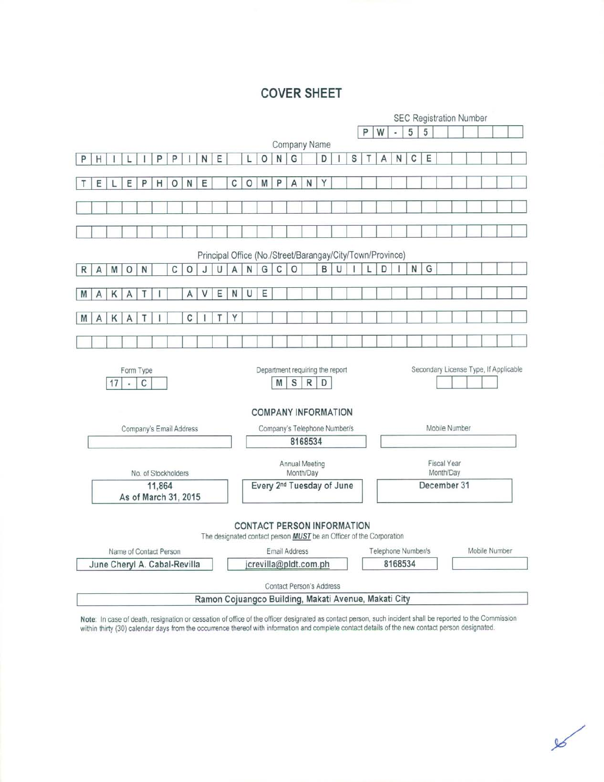# **COVER SHEET**

|                                                           | <b>SEC Registration Number</b>                         |    |         |                      |   |   |                              |                                       |                                                                            |   |   |                                 |                                                                    |                               |              |   |   |   |   |   |   |           |   |  |  |                                       |  |  |
|-----------------------------------------------------------|--------------------------------------------------------|----|---------|----------------------|---|---|------------------------------|---------------------------------------|----------------------------------------------------------------------------|---|---|---------------------------------|--------------------------------------------------------------------|-------------------------------|--------------|---|---|---|---|---|---|-----------|---|--|--|---------------------------------------|--|--|
|                                                           |                                                        |    |         |                      |   |   |                              |                                       |                                                                            |   |   |                                 |                                                                    |                               |              |   |   |   | P | W |   | 5         | 5 |  |  |                                       |  |  |
|                                                           | Company Name                                           |    |         |                      |   |   |                              |                                       |                                                                            |   |   |                                 |                                                                    |                               |              |   |   |   |   |   |   |           |   |  |  |                                       |  |  |
| P                                                         | Η                                                      |    |         |                      | P | P |                              | N                                     | Ε                                                                          |   |   | $\circ$                         | N                                                                  | G                             |              | D |   | S |   | А | N | C         | Ε |  |  |                                       |  |  |
|                                                           |                                                        |    |         |                      |   |   |                              |                                       |                                                                            |   |   |                                 |                                                                    |                               |              |   |   |   |   |   |   |           |   |  |  |                                       |  |  |
|                                                           | Ε                                                      |    | Ε       | P                    | Η | O | N                            | Ε                                     |                                                                            | С | 0 | M                               | P                                                                  | A                             | N            | Υ |   |   |   |   |   |           |   |  |  |                                       |  |  |
|                                                           |                                                        |    |         |                      |   |   |                              |                                       |                                                                            |   |   |                                 |                                                                    |                               |              |   |   |   |   |   |   |           |   |  |  |                                       |  |  |
|                                                           |                                                        |    |         |                      |   |   |                              |                                       |                                                                            |   |   |                                 |                                                                    |                               |              |   |   |   |   |   |   |           |   |  |  |                                       |  |  |
|                                                           |                                                        |    |         |                      |   |   |                              |                                       |                                                                            |   |   |                                 |                                                                    |                               |              |   |   |   |   |   |   |           |   |  |  |                                       |  |  |
|                                                           |                                                        |    |         |                      |   |   |                              |                                       |                                                                            |   |   |                                 |                                                                    |                               |              |   |   |   |   |   |   |           |   |  |  |                                       |  |  |
| Principal Office (No./Street/Barangay/City/Town/Province) |                                                        |    |         |                      |   |   |                              |                                       |                                                                            |   |   |                                 |                                                                    |                               |              |   |   |   |   |   |   |           |   |  |  |                                       |  |  |
| R                                                         | A                                                      | M  | $\circ$ | N                    |   | C | $\circ$                      | J                                     | U                                                                          | A | N | G                               | C                                                                  | $\circ$                       |              | B | U |   |   | D |   | ${\sf N}$ | G |  |  |                                       |  |  |
|                                                           |                                                        |    |         |                      |   |   |                              |                                       |                                                                            |   |   |                                 |                                                                    |                               |              |   |   |   |   |   |   |           |   |  |  |                                       |  |  |
| M                                                         | A                                                      | К  | Α       | Τ                    |   |   | A                            | ٧                                     | Ε                                                                          | N | U | E                               |                                                                    |                               |              |   |   |   |   |   |   |           |   |  |  |                                       |  |  |
| M                                                         | Α                                                      | Κ  | А       |                      |   |   | С                            |                                       |                                                                            | Υ |   |                                 |                                                                    |                               |              |   |   |   |   |   |   |           |   |  |  |                                       |  |  |
|                                                           |                                                        |    |         |                      |   |   |                              |                                       |                                                                            |   |   |                                 |                                                                    |                               |              |   |   |   |   |   |   |           |   |  |  |                                       |  |  |
|                                                           |                                                        |    |         |                      |   |   |                              |                                       |                                                                            |   |   |                                 |                                                                    |                               |              |   |   |   |   |   |   |           |   |  |  |                                       |  |  |
|                                                           |                                                        | 17 |         | Form Type<br>C       |   |   |                              |                                       |                                                                            |   |   |                                 | Department requiring the report<br>M<br><b>COMPANY INFORMATION</b> | $\mathbb S$                   | $\mathsf{R}$ | D |   |   |   |   |   |           |   |  |  | Secondary License Type, If Applicable |  |  |
|                                                           | Company's Email Address                                |    |         |                      |   |   | Company's Telephone Number/s |                                       |                                                                            |   |   |                                 |                                                                    | Mobile Number                 |              |   |   |   |   |   |   |           |   |  |  |                                       |  |  |
|                                                           |                                                        |    |         |                      |   |   |                              |                                       |                                                                            |   |   |                                 |                                                                    |                               | 8168534      |   |   |   |   |   |   |           |   |  |  |                                       |  |  |
| Annual Meeting<br>No. of Stockholders<br>Month/Day        |                                                        |    |         |                      |   |   |                              |                                       |                                                                            |   |   | <b>Fiscal Year</b><br>Month/Day |                                                                    |                               |              |   |   |   |   |   |   |           |   |  |  |                                       |  |  |
|                                                           | 11,864                                                 |    |         |                      |   |   |                              | Every 2 <sup>nd</sup> Tuesday of June |                                                                            |   |   |                                 |                                                                    | December 31                   |              |   |   |   |   |   |   |           |   |  |  |                                       |  |  |
|                                                           |                                                        |    |         | As of March 31, 2015 |   |   |                              |                                       |                                                                            |   |   |                                 |                                                                    |                               |              |   |   |   |   |   |   |           |   |  |  |                                       |  |  |
|                                                           |                                                        |    |         |                      |   |   |                              |                                       | The designated contact person <b>MUST</b> be an Officer of the Corporation |   |   |                                 | <b>CONTACT PERSON INFORMATION</b><br>Email Address                 |                               |              |   |   |   |   |   |   |           |   |  |  | Mobile Number                         |  |  |
|                                                           | Name of Contact Person<br>June Cheryl A. Cabal-Revilla |    |         |                      |   |   |                              | crevilla@pldt.com.ph                  |                                                                            |   |   |                                 |                                                                    | Telephone Number/s<br>8168534 |              |   |   |   |   |   |   |           |   |  |  |                                       |  |  |
|                                                           |                                                        |    |         |                      |   |   |                              |                                       |                                                                            |   |   |                                 | Contact Person's Address                                           |                               |              |   |   |   |   |   |   |           |   |  |  |                                       |  |  |
|                                                           |                                                        |    |         |                      |   |   |                              |                                       | Ramon Cojuangco Building, Makati Avenue, Makati City                       |   |   |                                 |                                                                    |                               |              |   |   |   |   |   |   |           |   |  |  |                                       |  |  |

Note: In case of death, resignation or cessation of office of the officer designated as contact person, such incident shall be reported to the Commission within thirty (30) calendar days from the occurrence thereof with in

 $\mathscr{C}$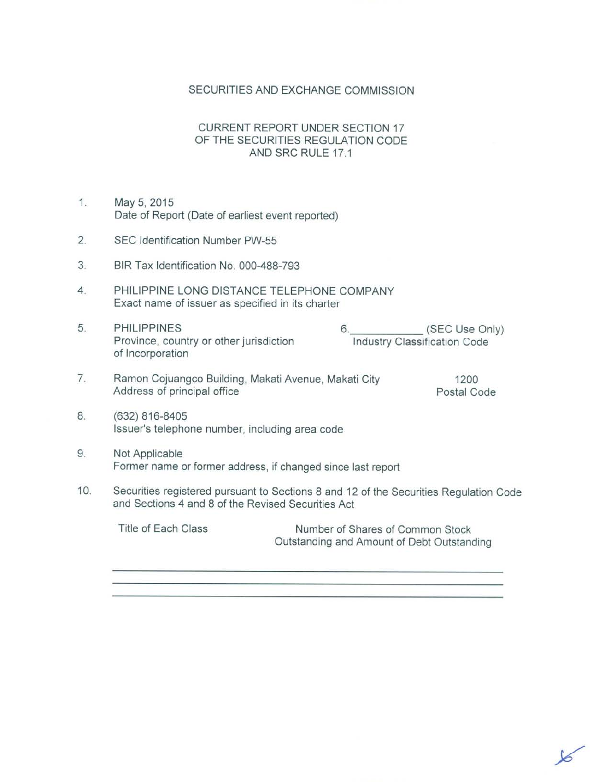## SECURITIES AND EXCHANGE COMMISSION

## **CURRENT REPORT UNDER SECTION 17** OF THE SECURITIES REGULATION CODE AND SRC RULE 17.1

- $1.$ May 5, 2015 Date of Report (Date of earliest event reported)
- SEC Identification Number PW-55  $2.$
- 3. BIR Tax Identification No. 000-488-793
- 4. PHILIPPINE LONG DISTANCE TELEPHONE COMPANY Exact name of issuer as specified in its charter
- (SEC Use Only) 5. **PHILIPPINES**  $6.$ Province, country or other jurisdiction **Industry Classification Code** of Incorporation
- $7.$ Ramon Cojuangco Building, Makati Avenue, Makati City Address of principal office

1200 Postal Code

- 8. (632) 816-8405 Issuer's telephone number, including area code
- 9. Not Applicable Former name or former address, if changed since last report
- 10. Securities registered pursuant to Sections 8 and 12 of the Securities Regulation Code and Sections 4 and 8 of the Revised Securities Act

Title of Each Class Number of Shares of Common Stock Outstanding and Amount of Debt Outstanding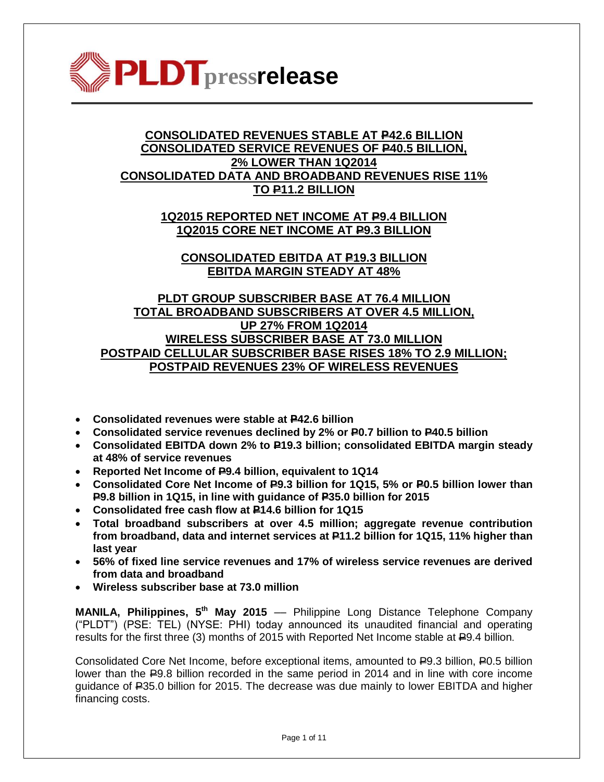

# **CONSOLIDATED REVENUES STABLE AT P42.6 BILLION CONSOLIDATED SERVICE REVENUES OF P40.5 BILLION, 2% LOWER THAN 1Q2014 CONSOLIDATED DATA AND BROADBAND REVENUES RISE 11% TO P11.2 BILLION**

**1Q2015 REPORTED NET INCOME AT P9.4 BILLION 1Q2015 CORE NET INCOME AT P9.3 BILLION**

**CONSOLIDATED EBITDA AT P19.3 BILLION EBITDA MARGIN STEADY AT 48%**

**PLDT GROUP SUBSCRIBER BASE AT 76.4 MILLION TOTAL BROADBAND SUBSCRIBERS AT OVER 4.5 MILLION, UP 27% FROM 1Q2014 WIRELESS SUBSCRIBER BASE AT 73.0 MILLION POSTPAID CELLULAR SUBSCRIBER BASE RISES 18% TO 2.9 MILLION; POSTPAID REVENUES 23% OF WIRELESS REVENUES**

- **Consolidated revenues were stable at P42.6 billion**
- **Consolidated service revenues declined by 2% or P0.7 billion to P40.5 billion**
- **Consolidated EBITDA down 2% to P19.3 billion; consolidated EBITDA margin steady at 48% of service revenues**
- **•** Reported Net Income of P9.4 billion, equivalent to 1Q14
- **Consolidated Core Net Income of P9.3 billion for 1Q15, 5% or P0.5 billion lower than P9.8 billion in 1Q15, in line with guidance of P35.0 billion for 2015**
- **Consolidated free cash flow at P14.6 billion for 1Q15**
- **Total broadband subscribers at over 4.5 million; aggregate revenue contribution from broadband, data and internet services at P11.2 billion for 1Q15, 11% higher than last year**
- **56% of fixed line service revenues and 17% of wireless service revenues are derived from data and broadband**
- **Wireless subscriber base at 73.0 million**

**MANILA, Philippines, 5 th May 2015** –– Philippine Long Distance Telephone Company ("PLDT") (PSE: TEL) (NYSE: PHI) today announced its unaudited financial and operating results for the first three (3) months of 2015 with Reported Net Income stable at  $E$ 9.4 billion.

Consolidated Core Net Income, before exceptional items, amounted to P9.3 billion, P0.5 billion lower than the P9.8 billion recorded in the same period in 2014 and in line with core income guidance of P35.0 billion for 2015. The decrease was due mainly to lower EBITDA and higher financing costs.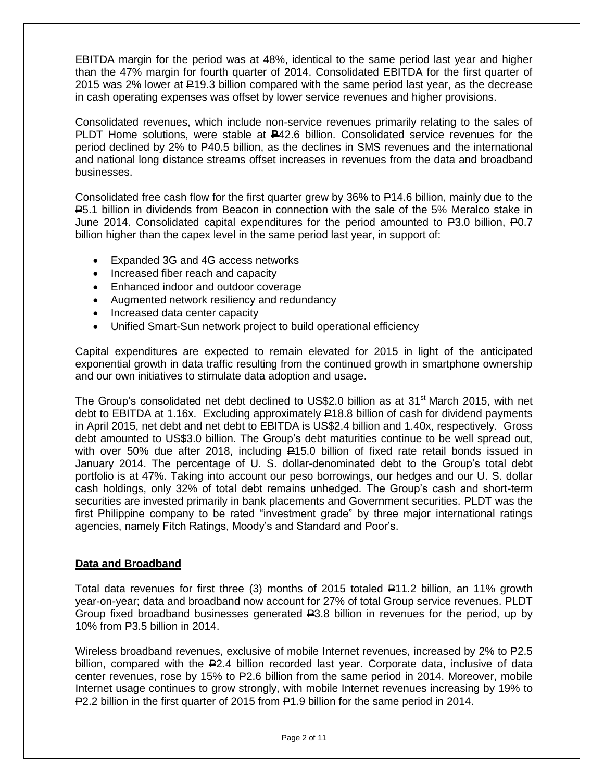EBITDA margin for the period was at 48%, identical to the same period last year and higher than the 47% margin for fourth quarter of 2014. Consolidated EBITDA for the first quarter of 2015 was 2% lower at P19.3 billion compared with the same period last year, as the decrease in cash operating expenses was offset by lower service revenues and higher provisions.

Consolidated revenues, which include non-service revenues primarily relating to the sales of PLDT Home solutions, were stable at **P**42.6 billion. Consolidated service revenues for the period declined by 2% to P40.5 billion, as the declines in SMS revenues and the international and national long distance streams offset increases in revenues from the data and broadband businesses.

Consolidated free cash flow for the first quarter grew by 36% to P14.6 billion, mainly due to the P5.1 billion in dividends from Beacon in connection with the sale of the 5% Meralco stake in June 2014. Consolidated capital expenditures for the period amounted to  $\text{\textsterling}3.0$  billion,  $\text{\textsterling}0.7$ billion higher than the capex level in the same period last year, in support of:

- Expanded 3G and 4G access networks
- Increased fiber reach and capacity
- Enhanced indoor and outdoor coverage
- Augmented network resiliency and redundancy
- Increased data center capacity
- Unified Smart-Sun network project to build operational efficiency

Capital expenditures are expected to remain elevated for 2015 in light of the anticipated exponential growth in data traffic resulting from the continued growth in smartphone ownership and our own initiatives to stimulate data adoption and usage.

The Group's consolidated net debt declined to US\$2.0 billion as at 31<sup>st</sup> March 2015, with net debt to EBITDA at 1.16x. Excluding approximately  $\frac{1}{2}18.8$  billion of cash for dividend payments in April 2015, net debt and net debt to EBITDA is US\$2.4 billion and 1.40x, respectively. Gross debt amounted to US\$3.0 billion. The Group's debt maturities continue to be well spread out, with over 50% due after 2018, including P15.0 billion of fixed rate retail bonds issued in January 2014. The percentage of U. S. dollar-denominated debt to the Group"s total debt portfolio is at 47%. Taking into account our peso borrowings, our hedges and our U. S. dollar cash holdings, only 32% of total debt remains unhedged. The Group"s cash and short-term securities are invested primarily in bank placements and Government securities. PLDT was the first Philippine company to be rated "investment grade" by three major international ratings agencies, namely Fitch Ratings, Moody"s and Standard and Poor"s.

#### **Data and Broadband**

Total data revenues for first three (3) months of 2015 totaled  $\equiv$ 11.2 billion, an 11% growth year-on-year; data and broadband now account for 27% of total Group service revenues. PLDT Group fixed broadband businesses generated  $R3.8$  billion in revenues for the period, up by 10% from P3.5 billion in 2014.

Wireless broadband revenues, exclusive of mobile Internet revenues, increased by 2% to P2.5 billion, compared with the P2.4 billion recorded last year. Corporate data, inclusive of data center revenues, rose by 15% to P2.6 billion from the same period in 2014. Moreover, mobile Internet usage continues to grow strongly, with mobile Internet revenues increasing by 19% to P2.2 billion in the first quarter of 2015 from P1.9 billion for the same period in 2014.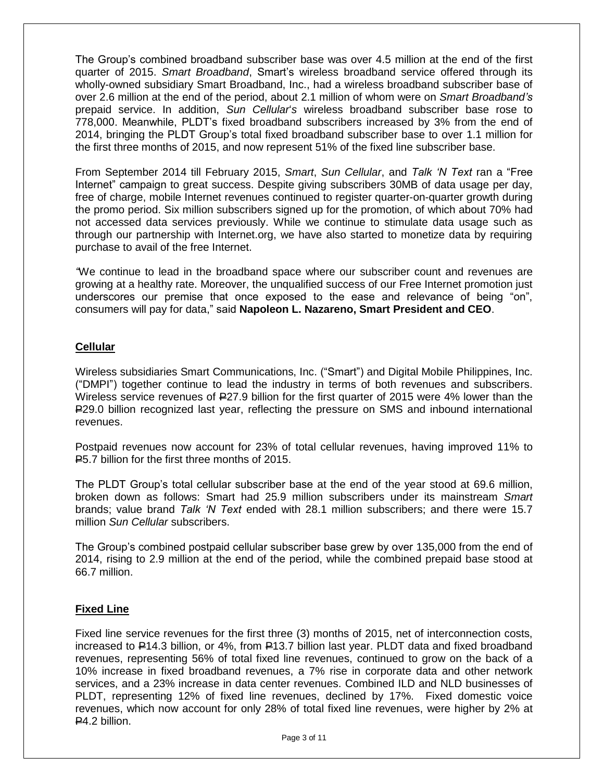The Group"s combined broadband subscriber base was over 4.5 million at the end of the first quarter of 2015. *Smart Broadband*, Smart"s wireless broadband service offered through its wholly-owned subsidiary Smart Broadband, Inc., had a wireless broadband subscriber base of over 2.6 million at the end of the period, about 2.1 million of whom were on *Smart Broadband's* prepaid service. In addition, *Sun Cellular*"*s* wireless broadband subscriber base rose to 778,000. Meanwhile, PLDT"s fixed broadband subscribers increased by 3% from the end of 2014, bringing the PLDT Group"s total fixed broadband subscriber base to over 1.1 million for the first three months of 2015, and now represent 51% of the fixed line subscriber base.

From September 2014 till February 2015, *Smart*, *Sun Cellular*, and *Talk 'N Text* ran a "Free Internet" campaign to great success. Despite giving subscribers 30MB of data usage per day, free of charge, mobile Internet revenues continued to register quarter-on-quarter growth during the promo period. Six million subscribers signed up for the promotion, of which about 70% had not accessed data services previously. While we continue to stimulate data usage such as through our partnership with Internet.org, we have also started to monetize data by requiring purchase to avail of the free Internet.

*"*We continue to lead in the broadband space where our subscriber count and revenues are growing at a healthy rate. Moreover, the unqualified success of our Free Internet promotion just underscores our premise that once exposed to the ease and relevance of being "on", consumers will pay for data," said **Napoleon L. Nazareno, Smart President and CEO**.

## **Cellular**

Wireless subsidiaries Smart Communications, Inc. ("Smart") and Digital Mobile Philippines, Inc. ("DMPI") together continue to lead the industry in terms of both revenues and subscribers. Wireless service revenues of P27.9 billion for the first quarter of 2015 were 4% lower than the P29.0 billion recognized last year, reflecting the pressure on SMS and inbound international revenues.

Postpaid revenues now account for 23% of total cellular revenues, having improved 11% to P5.7 billion for the first three months of 2015.

The PLDT Group's total cellular subscriber base at the end of the year stood at 69.6 million, broken down as follows: Smart had 25.9 million subscribers under its mainstream *Smart* brands; value brand *Talk 'N Text* ended with 28.1 million subscribers; and there were 15.7 million *Sun Cellular* subscribers.

The Group"s combined postpaid cellular subscriber base grew by over 135,000 from the end of 2014, rising to 2.9 million at the end of the period, while the combined prepaid base stood at 66.7 million.

#### **Fixed Line**

Fixed line service revenues for the first three (3) months of 2015, net of interconnection costs, increased to P14.3 billion, or 4%, from P13.7 billion last year. PLDT data and fixed broadband revenues, representing 56% of total fixed line revenues, continued to grow on the back of a 10% increase in fixed broadband revenues, a 7% rise in corporate data and other network services, and a 23% increase in data center revenues. Combined ILD and NLD businesses of PLDT, representing 12% of fixed line revenues, declined by 17%. Fixed domestic voice revenues, which now account for only 28% of total fixed line revenues, were higher by 2% at  $R<sub>4.2</sub>$  billion.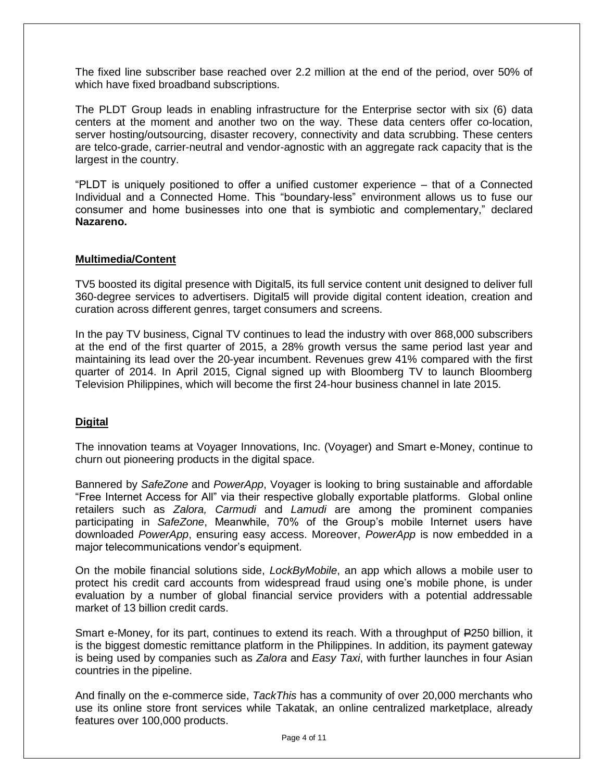The fixed line subscriber base reached over 2.2 million at the end of the period, over 50% of which have fixed broadband subscriptions.

The PLDT Group leads in enabling infrastructure for the Enterprise sector with six (6) data centers at the moment and another two on the way. These data centers offer co-location, server hosting/outsourcing, disaster recovery, connectivity and data scrubbing. These centers are telco-grade, carrier-neutral and vendor-agnostic with an aggregate rack capacity that is the largest in the country.

"PLDT is uniquely positioned to offer a unified customer experience – that of a Connected Individual and a Connected Home. This "boundary-less" environment allows us to fuse our consumer and home businesses into one that is symbiotic and complementary," declared **Nazareno.**

#### **Multimedia/Content**

TV5 boosted its digital presence with Digital5, its full service content unit designed to deliver full 360-degree services to advertisers. Digital5 will provide digital content ideation, creation and curation across different genres, target consumers and screens.

In the pay TV business, Cignal TV continues to lead the industry with over 868,000 subscribers at the end of the first quarter of 2015, a 28% growth versus the same period last year and maintaining its lead over the 20-year incumbent. Revenues grew 41% compared with the first quarter of 2014. In April 2015, Cignal signed up with Bloomberg TV to launch Bloomberg Television Philippines, which will become the first 24-hour business channel in late 2015.

#### **Digital**

The innovation teams at Voyager Innovations, Inc. (Voyager) and Smart e-Money, continue to churn out pioneering products in the digital space.

Bannered by *SafeZone* and *PowerApp*, Voyager is looking to bring sustainable and affordable "Free Internet Access for All" via their respective globally exportable platforms. Global online retailers such as *Zalora, Carmudi* and *Lamudi* are among the prominent companies participating in *SafeZone*, Meanwhile, 70% of the Group"s mobile Internet users have downloaded *PowerApp*, ensuring easy access. Moreover, *PowerApp* is now embedded in a major telecommunications vendor"s equipment.

On the mobile financial solutions side, *LockByMobile*, an app which allows a mobile user to protect his credit card accounts from widespread fraud using one"s mobile phone, is under evaluation by a number of global financial service providers with a potential addressable market of 13 billion credit cards.

Smart e-Money, for its part, continues to extend its reach. With a throughput of  $E$ 250 billion, it is the biggest domestic remittance platform in the Philippines. In addition, its payment gateway is being used by companies such as *Zalora* and *Easy Taxi*, with further launches in four Asian countries in the pipeline.

And finally on the e-commerce side, *TackThis* has a community of over 20,000 merchants who use its online store front services while Takatak, an online centralized marketplace, already features over 100,000 products.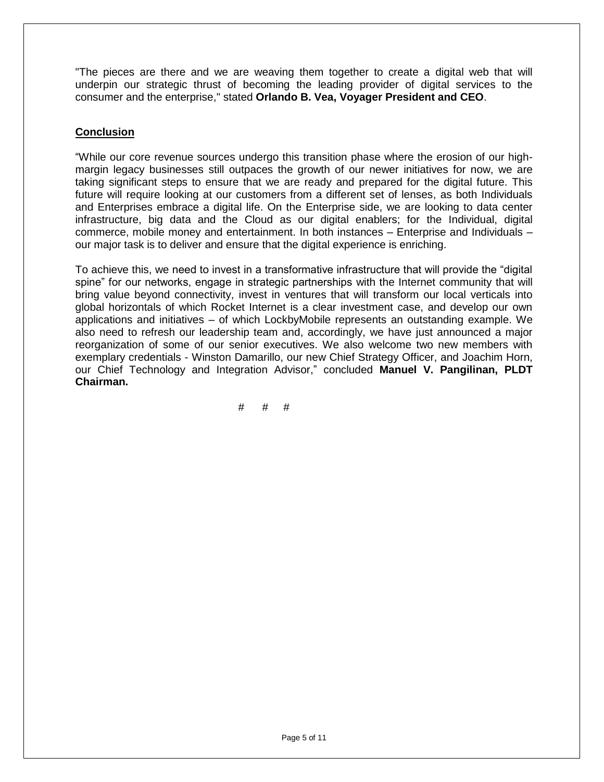"The pieces are there and we are weaving them together to create a digital web that will underpin our strategic thrust of becoming the leading provider of digital services to the consumer and the enterprise," stated **Orlando B. Vea, Voyager President and CEO**.

# **Conclusion**

"While our core revenue sources undergo this transition phase where the erosion of our highmargin legacy businesses still outpaces the growth of our newer initiatives for now, we are taking significant steps to ensure that we are ready and prepared for the digital future. This future will require looking at our customers from a different set of lenses, as both Individuals and Enterprises embrace a digital life. On the Enterprise side, we are looking to data center infrastructure, big data and the Cloud as our digital enablers; for the Individual, digital commerce, mobile money and entertainment. In both instances – Enterprise and Individuals – our major task is to deliver and ensure that the digital experience is enriching.

To achieve this, we need to invest in a transformative infrastructure that will provide the "digital spine" for our networks, engage in strategic partnerships with the Internet community that will bring value beyond connectivity, invest in ventures that will transform our local verticals into global horizontals of which Rocket Internet is a clear investment case, and develop our own applications and initiatives – of which LockbyMobile represents an outstanding example. We also need to refresh our leadership team and, accordingly, we have just announced a major reorganization of some of our senior executives. We also welcome two new members with exemplary credentials - Winston Damarillo, our new Chief Strategy Officer, and Joachim Horn, our Chief Technology and Integration Advisor," concluded **Manuel V. Pangilinan, PLDT Chairman.**

# # #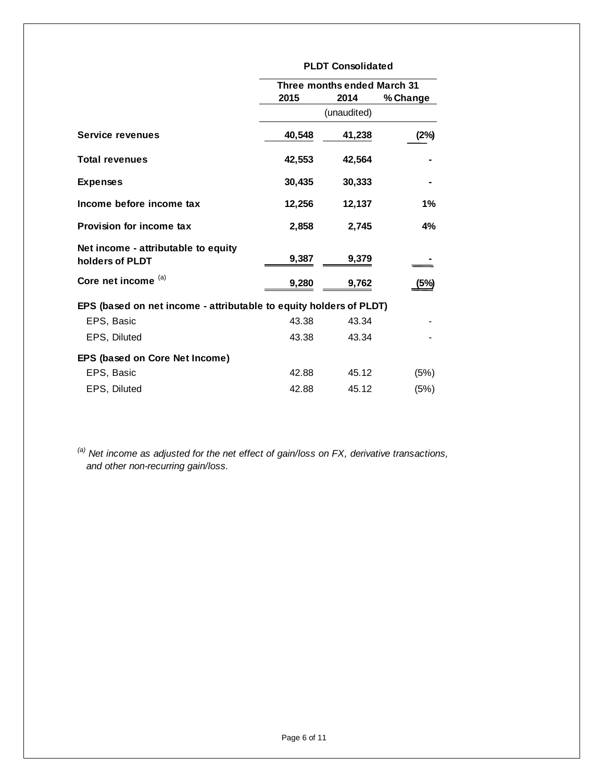|                                                                    | <b>PLDT Consolidated</b>    |             |          |  |  |  |  |
|--------------------------------------------------------------------|-----------------------------|-------------|----------|--|--|--|--|
|                                                                    | Three months ended March 31 |             |          |  |  |  |  |
|                                                                    | 2015                        | 2014        | % Change |  |  |  |  |
|                                                                    |                             | (unaudited) |          |  |  |  |  |
| <b>Service revenues</b>                                            | 40,548                      | 41,238      | (2%)     |  |  |  |  |
| <b>Total revenues</b>                                              | 42,553                      | 42,564      |          |  |  |  |  |
| <b>Expenses</b>                                                    | 30,435                      | 30,333      |          |  |  |  |  |
| Income before income tax                                           | 12,256                      | 12,137      | 1%       |  |  |  |  |
| <b>Provision for income tax</b>                                    | 2,858                       | 2,745       | 4%       |  |  |  |  |
| Net income - attributable to equity                                |                             |             |          |  |  |  |  |
| holders of PLDT                                                    | 9,387                       | 9,379       |          |  |  |  |  |
| Core net income (a)                                                | 9,280                       | 9,762       | (5%)     |  |  |  |  |
| EPS (based on net income - attributable to equity holders of PLDT) |                             |             |          |  |  |  |  |
| EPS, Basic                                                         | 43.38                       | 43.34       |          |  |  |  |  |
| EPS, Diluted                                                       | 43.38                       | 43.34       |          |  |  |  |  |
| EPS (based on Core Net Income)                                     |                             |             |          |  |  |  |  |
| EPS, Basic                                                         | 42.88                       | 45.12       | (5%)     |  |  |  |  |
| EPS, Diluted                                                       | 42.88                       | 45.12       | (5%)     |  |  |  |  |

*(a) Net income as adjusted for the net effect of gain/loss on FX, derivative transactions, and other non-recurring gain/loss.*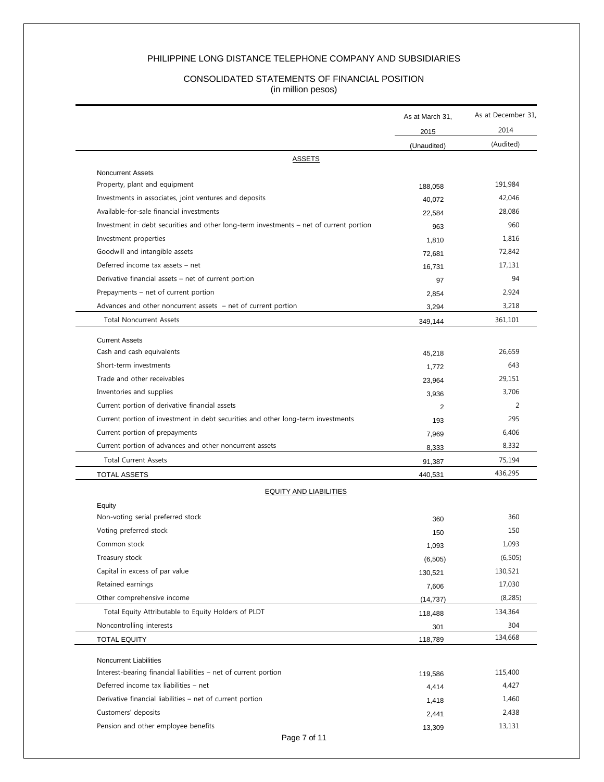#### PHILIPPINE LONG DISTANCE TELEPHONE COMPANY AND SUBSIDIARIES

#### CONSOLIDATED STATEMENTS OF FINANCIAL POSITION (in million pesos)

| 2015<br>(Unaudited)<br><b>ASSETS</b><br><b>Noncurrent Assets</b><br>Property, plant and equipment<br>188,058<br>Investments in associates, joint ventures and deposits<br>Available-for-sale financial investments<br>Investment in debt securities and other long-term investments - net of current portion<br>Investment properties<br>Goodwill and intangible assets<br>Deferred income tax assets - net<br>Derivative financial assets – net of current portion<br>Prepayments – net of current portion<br>Advances and other noncurrent assets - net of current portion<br><b>Total Noncurrent Assets</b><br>349,144<br><b>Current Assets</b><br>Cash and cash equivalents<br>Short-term investments<br>Trade and other receivables<br>Inventories and supplies<br>Current portion of derivative financial assets<br>Current portion of investment in debt securities and other long-term investments<br>Current portion of prepayments<br>Current portion of advances and other noncurrent assets<br><b>Total Current Assets</b><br><b>TOTAL ASSETS</b><br>440,531<br><b>EQUITY AND LIABILITIES</b><br>Equity<br>Non-voting serial preferred stock<br>Voting preferred stock<br>Common stock<br>Treasury stock<br>Capital in excess of par value<br>130,521<br>Retained earnings<br>Other comprehensive income<br>Total Equity Attributable to Equity Holders of PLDT<br>118,488<br>Noncontrolling interests<br><b>TOTAL EQUITY</b><br>118,789<br>Noncurrent Liabilities<br>Interest-bearing financial liabilities – net of current portion<br>119,586<br>Deferred income tax liabilities - net<br>Derivative financial liabilities – net of current portion | As at March 31, | As at December 31,<br>2014 |
|--------------------------------------------------------------------------------------------------------------------------------------------------------------------------------------------------------------------------------------------------------------------------------------------------------------------------------------------------------------------------------------------------------------------------------------------------------------------------------------------------------------------------------------------------------------------------------------------------------------------------------------------------------------------------------------------------------------------------------------------------------------------------------------------------------------------------------------------------------------------------------------------------------------------------------------------------------------------------------------------------------------------------------------------------------------------------------------------------------------------------------------------------------------------------------------------------------------------------------------------------------------------------------------------------------------------------------------------------------------------------------------------------------------------------------------------------------------------------------------------------------------------------------------------------------------------------------------------------------------------------------------------------------------------|-----------------|----------------------------|
|                                                                                                                                                                                                                                                                                                                                                                                                                                                                                                                                                                                                                                                                                                                                                                                                                                                                                                                                                                                                                                                                                                                                                                                                                                                                                                                                                                                                                                                                                                                                                                                                                                                                    |                 | (Audited)                  |
|                                                                                                                                                                                                                                                                                                                                                                                                                                                                                                                                                                                                                                                                                                                                                                                                                                                                                                                                                                                                                                                                                                                                                                                                                                                                                                                                                                                                                                                                                                                                                                                                                                                                    |                 |                            |
|                                                                                                                                                                                                                                                                                                                                                                                                                                                                                                                                                                                                                                                                                                                                                                                                                                                                                                                                                                                                                                                                                                                                                                                                                                                                                                                                                                                                                                                                                                                                                                                                                                                                    |                 |                            |
|                                                                                                                                                                                                                                                                                                                                                                                                                                                                                                                                                                                                                                                                                                                                                                                                                                                                                                                                                                                                                                                                                                                                                                                                                                                                                                                                                                                                                                                                                                                                                                                                                                                                    |                 | 191,984                    |
|                                                                                                                                                                                                                                                                                                                                                                                                                                                                                                                                                                                                                                                                                                                                                                                                                                                                                                                                                                                                                                                                                                                                                                                                                                                                                                                                                                                                                                                                                                                                                                                                                                                                    | 40,072          | 42,046                     |
|                                                                                                                                                                                                                                                                                                                                                                                                                                                                                                                                                                                                                                                                                                                                                                                                                                                                                                                                                                                                                                                                                                                                                                                                                                                                                                                                                                                                                                                                                                                                                                                                                                                                    | 22,584          | 28,086                     |
|                                                                                                                                                                                                                                                                                                                                                                                                                                                                                                                                                                                                                                                                                                                                                                                                                                                                                                                                                                                                                                                                                                                                                                                                                                                                                                                                                                                                                                                                                                                                                                                                                                                                    | 963             | 960                        |
|                                                                                                                                                                                                                                                                                                                                                                                                                                                                                                                                                                                                                                                                                                                                                                                                                                                                                                                                                                                                                                                                                                                                                                                                                                                                                                                                                                                                                                                                                                                                                                                                                                                                    | 1,810           | 1,816                      |
|                                                                                                                                                                                                                                                                                                                                                                                                                                                                                                                                                                                                                                                                                                                                                                                                                                                                                                                                                                                                                                                                                                                                                                                                                                                                                                                                                                                                                                                                                                                                                                                                                                                                    | 72,681          | 72,842                     |
|                                                                                                                                                                                                                                                                                                                                                                                                                                                                                                                                                                                                                                                                                                                                                                                                                                                                                                                                                                                                                                                                                                                                                                                                                                                                                                                                                                                                                                                                                                                                                                                                                                                                    | 16,731          | 17,131                     |
|                                                                                                                                                                                                                                                                                                                                                                                                                                                                                                                                                                                                                                                                                                                                                                                                                                                                                                                                                                                                                                                                                                                                                                                                                                                                                                                                                                                                                                                                                                                                                                                                                                                                    | 97              | 94                         |
|                                                                                                                                                                                                                                                                                                                                                                                                                                                                                                                                                                                                                                                                                                                                                                                                                                                                                                                                                                                                                                                                                                                                                                                                                                                                                                                                                                                                                                                                                                                                                                                                                                                                    | 2,854           | 2,924                      |
|                                                                                                                                                                                                                                                                                                                                                                                                                                                                                                                                                                                                                                                                                                                                                                                                                                                                                                                                                                                                                                                                                                                                                                                                                                                                                                                                                                                                                                                                                                                                                                                                                                                                    | 3,294           | 3,218                      |
|                                                                                                                                                                                                                                                                                                                                                                                                                                                                                                                                                                                                                                                                                                                                                                                                                                                                                                                                                                                                                                                                                                                                                                                                                                                                                                                                                                                                                                                                                                                                                                                                                                                                    |                 | 361,101                    |
|                                                                                                                                                                                                                                                                                                                                                                                                                                                                                                                                                                                                                                                                                                                                                                                                                                                                                                                                                                                                                                                                                                                                                                                                                                                                                                                                                                                                                                                                                                                                                                                                                                                                    |                 |                            |
|                                                                                                                                                                                                                                                                                                                                                                                                                                                                                                                                                                                                                                                                                                                                                                                                                                                                                                                                                                                                                                                                                                                                                                                                                                                                                                                                                                                                                                                                                                                                                                                                                                                                    | 45,218          | 26.659                     |
|                                                                                                                                                                                                                                                                                                                                                                                                                                                                                                                                                                                                                                                                                                                                                                                                                                                                                                                                                                                                                                                                                                                                                                                                                                                                                                                                                                                                                                                                                                                                                                                                                                                                    | 1.772           | 643                        |
|                                                                                                                                                                                                                                                                                                                                                                                                                                                                                                                                                                                                                                                                                                                                                                                                                                                                                                                                                                                                                                                                                                                                                                                                                                                                                                                                                                                                                                                                                                                                                                                                                                                                    | 23,964          | 29,151                     |
|                                                                                                                                                                                                                                                                                                                                                                                                                                                                                                                                                                                                                                                                                                                                                                                                                                                                                                                                                                                                                                                                                                                                                                                                                                                                                                                                                                                                                                                                                                                                                                                                                                                                    | 3,936           | 3,706                      |
|                                                                                                                                                                                                                                                                                                                                                                                                                                                                                                                                                                                                                                                                                                                                                                                                                                                                                                                                                                                                                                                                                                                                                                                                                                                                                                                                                                                                                                                                                                                                                                                                                                                                    | 2               | 2                          |
|                                                                                                                                                                                                                                                                                                                                                                                                                                                                                                                                                                                                                                                                                                                                                                                                                                                                                                                                                                                                                                                                                                                                                                                                                                                                                                                                                                                                                                                                                                                                                                                                                                                                    | 193             | 295                        |
|                                                                                                                                                                                                                                                                                                                                                                                                                                                                                                                                                                                                                                                                                                                                                                                                                                                                                                                                                                                                                                                                                                                                                                                                                                                                                                                                                                                                                                                                                                                                                                                                                                                                    | 7,969           | 6,406                      |
|                                                                                                                                                                                                                                                                                                                                                                                                                                                                                                                                                                                                                                                                                                                                                                                                                                                                                                                                                                                                                                                                                                                                                                                                                                                                                                                                                                                                                                                                                                                                                                                                                                                                    | 8,333           | 8,332                      |
|                                                                                                                                                                                                                                                                                                                                                                                                                                                                                                                                                                                                                                                                                                                                                                                                                                                                                                                                                                                                                                                                                                                                                                                                                                                                                                                                                                                                                                                                                                                                                                                                                                                                    | 91,387          | 75,194                     |
|                                                                                                                                                                                                                                                                                                                                                                                                                                                                                                                                                                                                                                                                                                                                                                                                                                                                                                                                                                                                                                                                                                                                                                                                                                                                                                                                                                                                                                                                                                                                                                                                                                                                    |                 | 436,295                    |
|                                                                                                                                                                                                                                                                                                                                                                                                                                                                                                                                                                                                                                                                                                                                                                                                                                                                                                                                                                                                                                                                                                                                                                                                                                                                                                                                                                                                                                                                                                                                                                                                                                                                    |                 |                            |
|                                                                                                                                                                                                                                                                                                                                                                                                                                                                                                                                                                                                                                                                                                                                                                                                                                                                                                                                                                                                                                                                                                                                                                                                                                                                                                                                                                                                                                                                                                                                                                                                                                                                    |                 |                            |
|                                                                                                                                                                                                                                                                                                                                                                                                                                                                                                                                                                                                                                                                                                                                                                                                                                                                                                                                                                                                                                                                                                                                                                                                                                                                                                                                                                                                                                                                                                                                                                                                                                                                    | 360             | 360                        |
|                                                                                                                                                                                                                                                                                                                                                                                                                                                                                                                                                                                                                                                                                                                                                                                                                                                                                                                                                                                                                                                                                                                                                                                                                                                                                                                                                                                                                                                                                                                                                                                                                                                                    | 150             | 150                        |
|                                                                                                                                                                                                                                                                                                                                                                                                                                                                                                                                                                                                                                                                                                                                                                                                                                                                                                                                                                                                                                                                                                                                                                                                                                                                                                                                                                                                                                                                                                                                                                                                                                                                    | 1,093           | 1,093                      |
|                                                                                                                                                                                                                                                                                                                                                                                                                                                                                                                                                                                                                                                                                                                                                                                                                                                                                                                                                                                                                                                                                                                                                                                                                                                                                                                                                                                                                                                                                                                                                                                                                                                                    | (6, 505)        | (6, 505)                   |
|                                                                                                                                                                                                                                                                                                                                                                                                                                                                                                                                                                                                                                                                                                                                                                                                                                                                                                                                                                                                                                                                                                                                                                                                                                                                                                                                                                                                                                                                                                                                                                                                                                                                    |                 | 130,521                    |
|                                                                                                                                                                                                                                                                                                                                                                                                                                                                                                                                                                                                                                                                                                                                                                                                                                                                                                                                                                                                                                                                                                                                                                                                                                                                                                                                                                                                                                                                                                                                                                                                                                                                    | 7,606           | 17,030                     |
|                                                                                                                                                                                                                                                                                                                                                                                                                                                                                                                                                                                                                                                                                                                                                                                                                                                                                                                                                                                                                                                                                                                                                                                                                                                                                                                                                                                                                                                                                                                                                                                                                                                                    | (14, 737)       | (8, 285)                   |
|                                                                                                                                                                                                                                                                                                                                                                                                                                                                                                                                                                                                                                                                                                                                                                                                                                                                                                                                                                                                                                                                                                                                                                                                                                                                                                                                                                                                                                                                                                                                                                                                                                                                    |                 | 134,364                    |
|                                                                                                                                                                                                                                                                                                                                                                                                                                                                                                                                                                                                                                                                                                                                                                                                                                                                                                                                                                                                                                                                                                                                                                                                                                                                                                                                                                                                                                                                                                                                                                                                                                                                    | 301             | 304                        |
|                                                                                                                                                                                                                                                                                                                                                                                                                                                                                                                                                                                                                                                                                                                                                                                                                                                                                                                                                                                                                                                                                                                                                                                                                                                                                                                                                                                                                                                                                                                                                                                                                                                                    |                 | 134,668                    |
|                                                                                                                                                                                                                                                                                                                                                                                                                                                                                                                                                                                                                                                                                                                                                                                                                                                                                                                                                                                                                                                                                                                                                                                                                                                                                                                                                                                                                                                                                                                                                                                                                                                                    |                 |                            |
|                                                                                                                                                                                                                                                                                                                                                                                                                                                                                                                                                                                                                                                                                                                                                                                                                                                                                                                                                                                                                                                                                                                                                                                                                                                                                                                                                                                                                                                                                                                                                                                                                                                                    |                 | 115,400                    |
|                                                                                                                                                                                                                                                                                                                                                                                                                                                                                                                                                                                                                                                                                                                                                                                                                                                                                                                                                                                                                                                                                                                                                                                                                                                                                                                                                                                                                                                                                                                                                                                                                                                                    | 4,414           | 4,427                      |
|                                                                                                                                                                                                                                                                                                                                                                                                                                                                                                                                                                                                                                                                                                                                                                                                                                                                                                                                                                                                                                                                                                                                                                                                                                                                                                                                                                                                                                                                                                                                                                                                                                                                    | 1,418           | 1,460                      |
| Customers' deposits                                                                                                                                                                                                                                                                                                                                                                                                                                                                                                                                                                                                                                                                                                                                                                                                                                                                                                                                                                                                                                                                                                                                                                                                                                                                                                                                                                                                                                                                                                                                                                                                                                                | 2,441           | 2,438                      |
| Pension and other employee benefits                                                                                                                                                                                                                                                                                                                                                                                                                                                                                                                                                                                                                                                                                                                                                                                                                                                                                                                                                                                                                                                                                                                                                                                                                                                                                                                                                                                                                                                                                                                                                                                                                                | 13,309          | 13,131                     |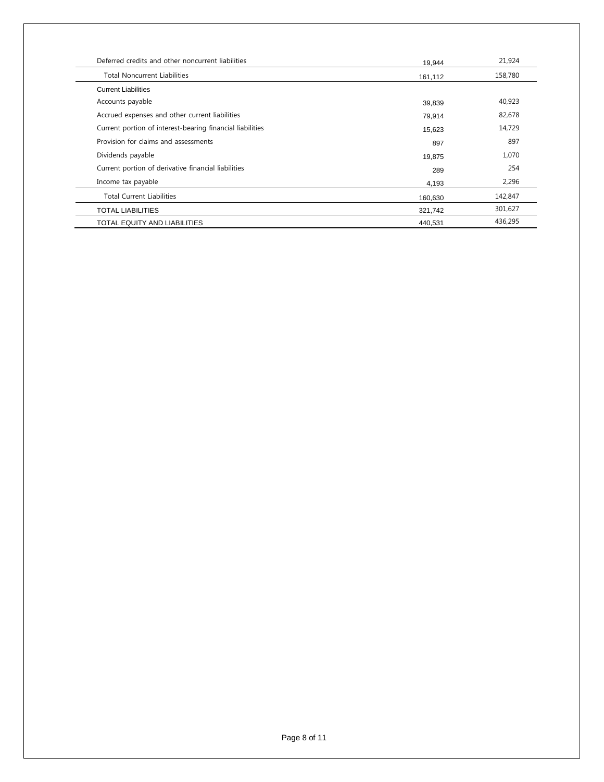| Deferred credits and other noncurrent liabilities         | 19,944  | 21,924  |
|-----------------------------------------------------------|---------|---------|
| <b>Total Noncurrent Liabilities</b>                       | 161,112 | 158,780 |
| <b>Current Liabilities</b>                                |         |         |
| Accounts payable                                          | 39,839  | 40,923  |
| Accrued expenses and other current liabilities            | 79,914  | 82,678  |
| Current portion of interest-bearing financial liabilities | 15,623  | 14,729  |
| Provision for claims and assessments                      | 897     | 897     |
| Dividends payable                                         | 19,875  | 1,070   |
| Current portion of derivative financial liabilities       | 289     | 254     |
| Income tax payable                                        | 4,193   | 2,296   |
| <b>Total Current Liabilities</b>                          | 160,630 | 142,847 |
| <b>TOTAL LIABILITIES</b>                                  | 321,742 | 301,627 |
| TOTAL EQUITY AND LIABILITIES                              | 440,531 | 436,295 |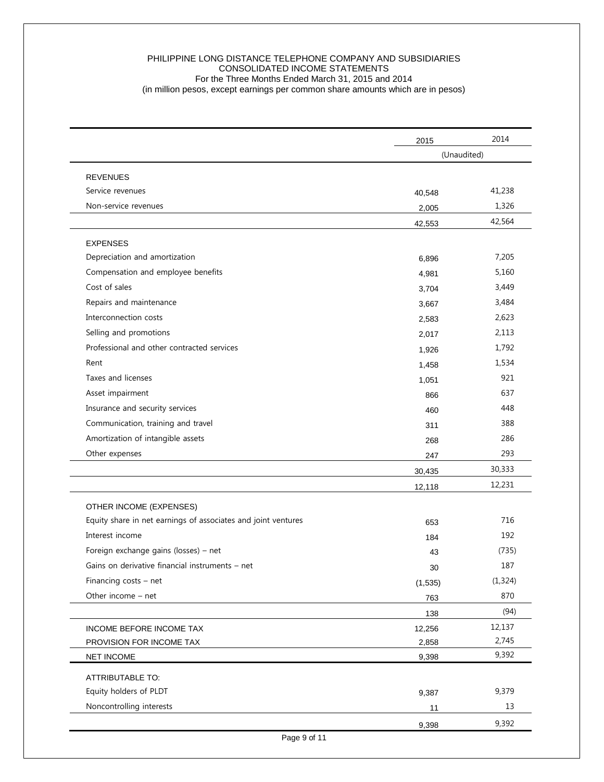#### PHILIPPINE LONG DISTANCE TELEPHONE COMPANY AND SUBSIDIARIES CONSOLIDATED INCOME STATEMENTS For the Three Months Ended March 31, 2015 and 2014 (in million pesos, except earnings per common share amounts which are in pesos)

|                                                               | 2015        | 2014     |
|---------------------------------------------------------------|-------------|----------|
|                                                               | (Unaudited) |          |
| <b>REVENUES</b>                                               |             |          |
| Service revenues                                              | 40,548      | 41,238   |
| Non-service revenues                                          | 2,005       | 1,326    |
|                                                               | 42,553      | 42,564   |
| <b>EXPENSES</b>                                               |             |          |
| Depreciation and amortization                                 | 6,896       | 7,205    |
| Compensation and employee benefits                            | 4,981       | 5,160    |
| Cost of sales                                                 | 3,704       | 3,449    |
| Repairs and maintenance                                       | 3,667       | 3,484    |
| Interconnection costs                                         | 2,583       | 2,623    |
| Selling and promotions                                        | 2,017       | 2,113    |
| Professional and other contracted services                    | 1,926       | 1,792    |
| Rent                                                          | 1,458       | 1,534    |
| Taxes and licenses                                            | 1,051       | 921      |
| Asset impairment                                              | 866         | 637      |
| Insurance and security services                               | 460         | 448      |
| Communication, training and travel                            | 311         | 388      |
| Amortization of intangible assets                             | 268         | 286      |
| Other expenses                                                | 247         | 293      |
|                                                               | 30,435      | 30,333   |
|                                                               | 12,118      | 12,231   |
| OTHER INCOME (EXPENSES)                                       |             |          |
| Equity share in net earnings of associates and joint ventures | 653         | 716      |
| Interest income                                               | 184         | 192      |
| Foreign exchange gains (losses) - net                         | 43          | (735)    |
| Gains on derivative financial instruments - net               | 30          | 187      |
| Financing costs $-$ net                                       | (1,535)     | (1, 324) |
| Other income - net                                            | 763         | 870      |
|                                                               | 138         | (94)     |
| INCOME BEFORE INCOME TAX                                      | 12,256      | 12,137   |
| PROVISION FOR INCOME TAX                                      | 2,858       | 2,745    |
| <b>NET INCOME</b>                                             | 9,398       | 9,392    |
| ATTRIBUTABLE TO:                                              |             |          |
| Equity holders of PLDT                                        | 9,387       | 9,379    |
| Noncontrolling interests                                      | 11          | 13       |
|                                                               | 9,398       | 9,392    |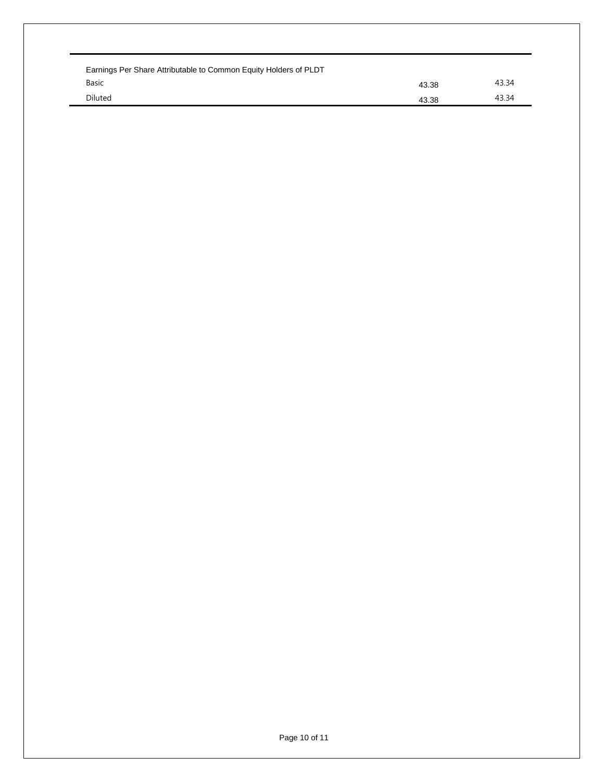| Earnings Per Share Attributable to Common Equity Holders of PLDT |       |       |  |  |  |  |  |  |  |  |
|------------------------------------------------------------------|-------|-------|--|--|--|--|--|--|--|--|
| Basic                                                            | 43.38 | 43.34 |  |  |  |  |  |  |  |  |
| <b>Diluted</b>                                                   | 43.38 | 43.34 |  |  |  |  |  |  |  |  |